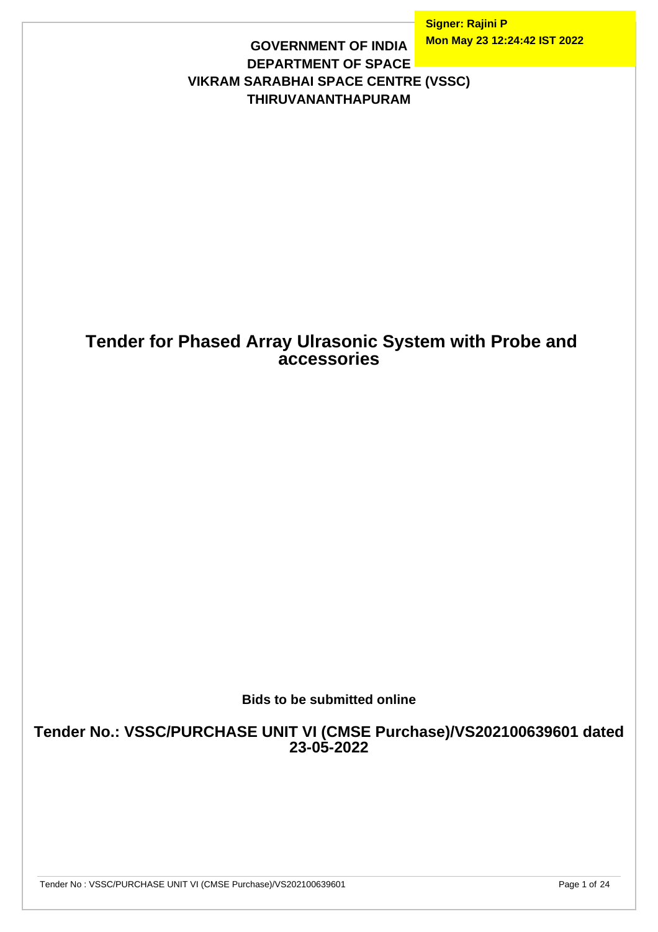**Signer: Rajini P Mon May 23 12:24:42 IST 2022**

### **GOVERNMENT OF INDIA DEPARTMENT OF SPACE VIKRAM SARABHAI SPACE CENTRE (VSSC) THIRUVANANTHAPURAM**

## **Tender for Phased Array Ulrasonic System with Probe and accessories**

**Bids to be submitted online**

**Tender No.: VSSC/PURCHASE UNIT VI (CMSE Purchase)/VS202100639601 dated 23-05-2022**

Tender No : VSSC/PURCHASE UNIT VI (CMSE Purchase)/VS202100639601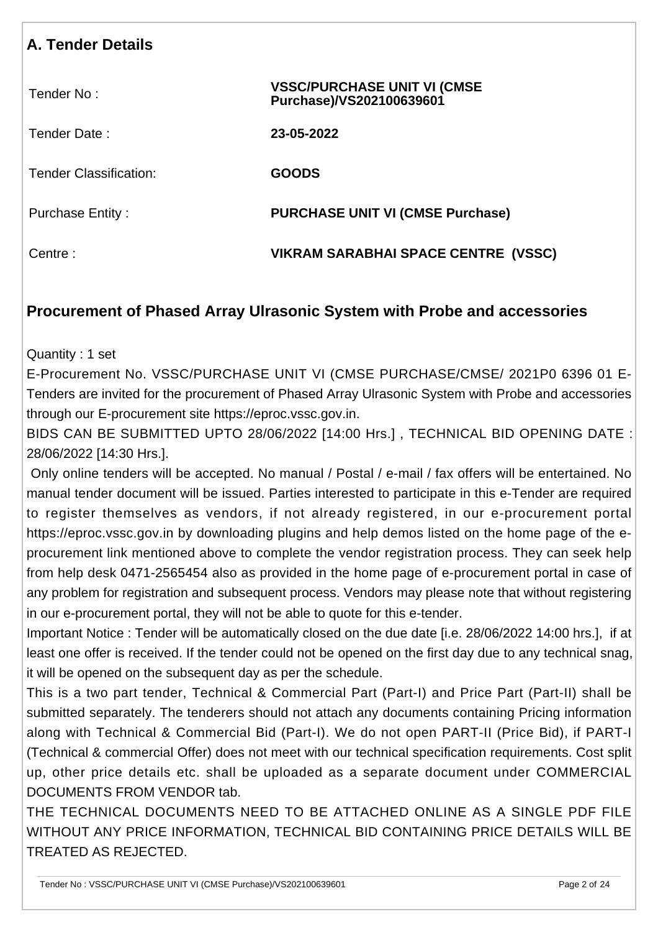# **A. Tender Details**

| Tender No:                    | <b>VSSC/PURCHASE UNIT VI (CMSE)</b><br>Purchase)/VS202100639601 |
|-------------------------------|-----------------------------------------------------------------|
| Tender Date:                  | 23-05-2022                                                      |
| <b>Tender Classification:</b> | <b>GOODS</b>                                                    |
| <b>Purchase Entity:</b>       | <b>PURCHASE UNIT VI (CMSE Purchase)</b>                         |
| Centre:                       | VIKRAM SARABHAI SPACE CENTRE (VSSC)                             |

### **Procurement of Phased Array Ulrasonic System with Probe and accessories**

Quantity : 1 set

E-Procurement No. VSSC/PURCHASE UNIT VI (CMSE PURCHASE/CMSE/ 2021P0 6396 01 E-Tenders are invited for the procurement of Phased Array Ulrasonic System with Probe and accessories through our E-procurement site https://eproc.vssc.gov.in.

BIDS CAN BE SUBMITTED UPTO 28/06/2022 [14:00 Hrs.] , TECHNICAL BID OPENING DATE : 28/06/2022 [14:30 Hrs.].

 Only online tenders will be accepted. No manual / Postal / e-mail / fax offers will be entertained. No manual tender document will be issued. Parties interested to participate in this e-Tender are required to register themselves as vendors, if not already registered, in our e-procurement portal https://eproc.vssc.gov.in by downloading plugins and help demos listed on the home page of the eprocurement link mentioned above to complete the vendor registration process. They can seek help from help desk 0471-2565454 also as provided in the home page of e-procurement portal in case of any problem for registration and subsequent process. Vendors may please note that without registering in our e-procurement portal, they will not be able to quote for this e-tender.

Important Notice : Tender will be automatically closed on the due date [i.e. 28/06/2022 14:00 hrs.], if at least one offer is received. If the tender could not be opened on the first day due to any technical snag, it will be opened on the subsequent day as per the schedule.

This is a two part tender, Technical & Commercial Part (Part-I) and Price Part (Part-II) shall be submitted separately. The tenderers should not attach any documents containing Pricing information along with Technical & Commercial Bid (Part-I). We do not open PART-II (Price Bid), if PART-I (Technical & commercial Offer) does not meet with our technical specification requirements. Cost split up, other price details etc. shall be uploaded as a separate document under COMMERCIAL DOCUMENTS FROM VENDOR tab.

THE TECHNICAL DOCUMENTS NEED TO BE ATTACHED ONLINE AS A SINGLE PDF FILE WITHOUT ANY PRICE INFORMATION, TECHNICAL BID CONTAINING PRICE DETAILS WILL BE TREATED AS REJECTED.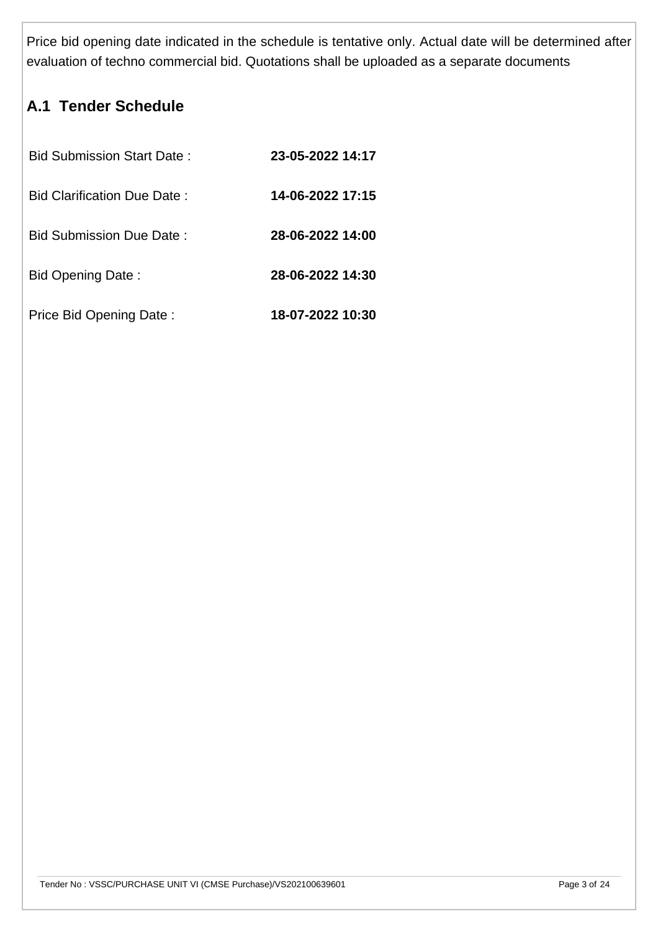Price bid opening date indicated in the schedule is tentative only. Actual date will be determined after evaluation of techno commercial bid. Quotations shall be uploaded as a separate documents

# **A.1 Tender Schedule**

| <b>Bid Submission Start Date:</b> | 23-05-2022 14:17 |
|-----------------------------------|------------------|
| Bid Clarification Due Date:       | 14-06-2022 17:15 |
| <b>Bid Submission Due Date:</b>   | 28-06-2022 14:00 |
| <b>Bid Opening Date:</b>          | 28-06-2022 14:30 |
| Price Bid Opening Date:           | 18-07-2022 10:30 |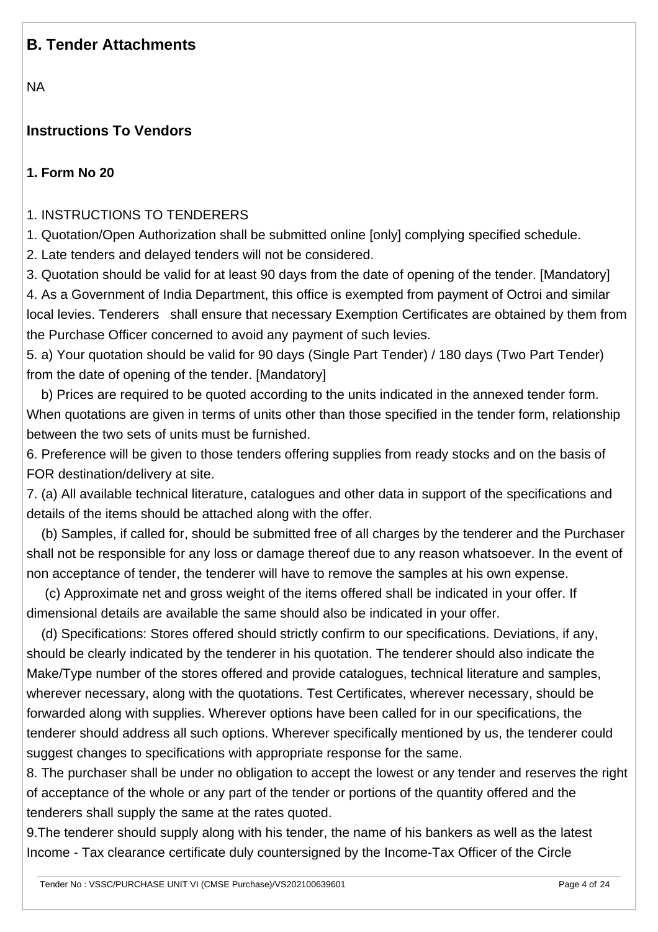### **B. Tender Attachments**

NA

### **Instructions To Vendors**

#### **1. Form No 20**

1. INSTRUCTIONS TO TENDERERS

1. Quotation/Open Authorization shall be submitted online [only] complying specified schedule.

2. Late tenders and delayed tenders will not be considered.

3. Quotation should be valid for at least 90 days from the date of opening of the tender. [Mandatory] 4. As a Government of India Department, this office is exempted from payment of Octroi and similar local levies. Tenderers shall ensure that necessary Exemption Certificates are obtained by them from the Purchase Officer concerned to avoid any payment of such levies.

5. a) Your quotation should be valid for 90 days (Single Part Tender) / 180 days (Two Part Tender) from the date of opening of the tender. [Mandatory]

 b) Prices are required to be quoted according to the units indicated in the annexed tender form. When quotations are given in terms of units other than those specified in the tender form, relationship between the two sets of units must be furnished.

6. Preference will be given to those tenders offering supplies from ready stocks and on the basis of FOR destination/delivery at site.

7. (a) All available technical literature, catalogues and other data in support of the specifications and details of the items should be attached along with the offer.

 (b) Samples, if called for, should be submitted free of all charges by the tenderer and the Purchaser shall not be responsible for any loss or damage thereof due to any reason whatsoever. In the event of non acceptance of tender, the tenderer will have to remove the samples at his own expense.

 (c) Approximate net and gross weight of the items offered shall be indicated in your offer. If dimensional details are available the same should also be indicated in your offer.

 (d) Specifications: Stores offered should strictly confirm to our specifications. Deviations, if any, should be clearly indicated by the tenderer in his quotation. The tenderer should also indicate the Make/Type number of the stores offered and provide catalogues, technical literature and samples, wherever necessary, along with the quotations. Test Certificates, wherever necessary, should be forwarded along with supplies. Wherever options have been called for in our specifications, the tenderer should address all such options. Wherever specifically mentioned by us, the tenderer could suggest changes to specifications with appropriate response for the same.

8. The purchaser shall be under no obligation to accept the lowest or any tender and reserves the right of acceptance of the whole or any part of the tender or portions of the quantity offered and the tenderers shall supply the same at the rates quoted.

9.The tenderer should supply along with his tender, the name of his bankers as well as the latest Income - Tax clearance certificate duly countersigned by the Income-Tax Officer of the Circle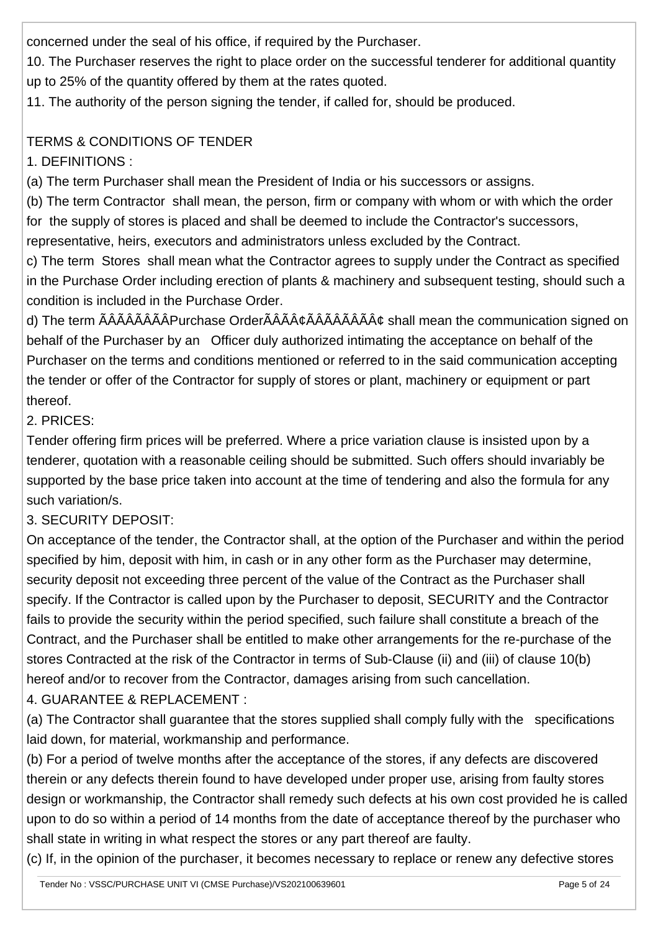concerned under the seal of his office, if required by the Purchaser.

10. The Purchaser reserves the right to place order on the successful tenderer for additional quantity up to 25% of the quantity offered by them at the rates quoted.

11. The authority of the person signing the tender, if called for, should be produced.

### TERMS & CONDITIONS OF TENDER

1. DEFINITIONS :

(a) The term Purchaser shall mean the President of India or his successors or assigns.

(b) The term Contractor shall mean, the person, firm or company with whom or with which the order for the supply of stores is placed and shall be deemed to include the Contractor's successors, representative, heirs, executors and administrators unless excluded by the Contract.

c) The term Stores shall mean what the Contractor agrees to supply under the Contract as specified in the Purchase Order including erection of plants & machinery and subsequent testing, should such a condition is included in the Purchase Order.

d) The term ÃÂÃÂÂÃÂÂÂPurchase OrderÃÂÂÃÂÂÂÂÂÂÂÂÂÂ shall mean the communication signed on behalf of the Purchaser by an Officer duly authorized intimating the acceptance on behalf of the Purchaser on the terms and conditions mentioned or referred to in the said communication accepting the tender or offer of the Contractor for supply of stores or plant, machinery or equipment or part thereof.

2. PRICES:

Tender offering firm prices will be preferred. Where a price variation clause is insisted upon by a tenderer, quotation with a reasonable ceiling should be submitted. Such offers should invariably be supported by the base price taken into account at the time of tendering and also the formula for any such variation/s.

3. SECURITY DEPOSIT:

On acceptance of the tender, the Contractor shall, at the option of the Purchaser and within the period specified by him, deposit with him, in cash or in any other form as the Purchaser may determine, security deposit not exceeding three percent of the value of the Contract as the Purchaser shall specify. If the Contractor is called upon by the Purchaser to deposit, SECURITY and the Contractor fails to provide the security within the period specified, such failure shall constitute a breach of the Contract, and the Purchaser shall be entitled to make other arrangements for the re-purchase of the stores Contracted at the risk of the Contractor in terms of Sub-Clause (ii) and (iii) of clause 10(b) hereof and/or to recover from the Contractor, damages arising from such cancellation. 4. GUARANTEE & REPLACEMENT :

(a) The Contractor shall guarantee that the stores supplied shall comply fully with the specifications laid down, for material, workmanship and performance.

(b) For a period of twelve months after the acceptance of the stores, if any defects are discovered therein or any defects therein found to have developed under proper use, arising from faulty stores design or workmanship, the Contractor shall remedy such defects at his own cost provided he is called upon to do so within a period of 14 months from the date of acceptance thereof by the purchaser who shall state in writing in what respect the stores or any part thereof are faulty.

(c) If, in the opinion of the purchaser, it becomes necessary to replace or renew any defective stores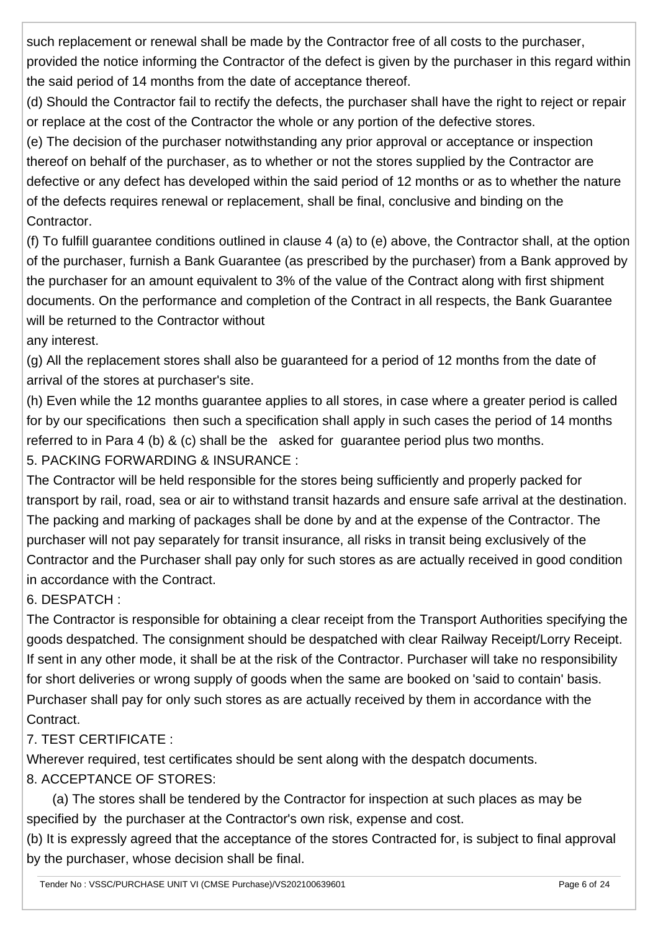such replacement or renewal shall be made by the Contractor free of all costs to the purchaser, provided the notice informing the Contractor of the defect is given by the purchaser in this regard within the said period of 14 months from the date of acceptance thereof.

(d) Should the Contractor fail to rectify the defects, the purchaser shall have the right to reject or repair or replace at the cost of the Contractor the whole or any portion of the defective stores.

(e) The decision of the purchaser notwithstanding any prior approval or acceptance or inspection thereof on behalf of the purchaser, as to whether or not the stores supplied by the Contractor are defective or any defect has developed within the said period of 12 months or as to whether the nature of the defects requires renewal or replacement, shall be final, conclusive and binding on the Contractor.

(f) To fulfill guarantee conditions outlined in clause 4 (a) to (e) above, the Contractor shall, at the option of the purchaser, furnish a Bank Guarantee (as prescribed by the purchaser) from a Bank approved by the purchaser for an amount equivalent to 3% of the value of the Contract along with first shipment documents. On the performance and completion of the Contract in all respects, the Bank Guarantee will be returned to the Contractor without

any interest.

(g) All the replacement stores shall also be guaranteed for a period of 12 months from the date of arrival of the stores at purchaser's site.

(h) Even while the 12 months guarantee applies to all stores, in case where a greater period is called for by our specifications then such a specification shall apply in such cases the period of 14 months referred to in Para 4 (b) & (c) shall be the asked for guarantee period plus two months. 5. PACKING FORWARDING & INSURANCE :

The Contractor will be held responsible for the stores being sufficiently and properly packed for transport by rail, road, sea or air to withstand transit hazards and ensure safe arrival at the destination. The packing and marking of packages shall be done by and at the expense of the Contractor. The purchaser will not pay separately for transit insurance, all risks in transit being exclusively of the Contractor and the Purchaser shall pay only for such stores as are actually received in good condition in accordance with the Contract.

## 6. DESPATCH :

The Contractor is responsible for obtaining a clear receipt from the Transport Authorities specifying the goods despatched. The consignment should be despatched with clear Railway Receipt/Lorry Receipt. If sent in any other mode, it shall be at the risk of the Contractor. Purchaser will take no responsibility for short deliveries or wrong supply of goods when the same are booked on 'said to contain' basis. Purchaser shall pay for only such stores as are actually received by them in accordance with the Contract.

## 7. TEST CERTIFICATE :

Wherever required, test certificates should be sent along with the despatch documents. 8. ACCEPTANCE OF STORES:

 (a) The stores shall be tendered by the Contractor for inspection at such places as may be specified by the purchaser at the Contractor's own risk, expense and cost.

(b) It is expressly agreed that the acceptance of the stores Contracted for, is subject to final approval by the purchaser, whose decision shall be final.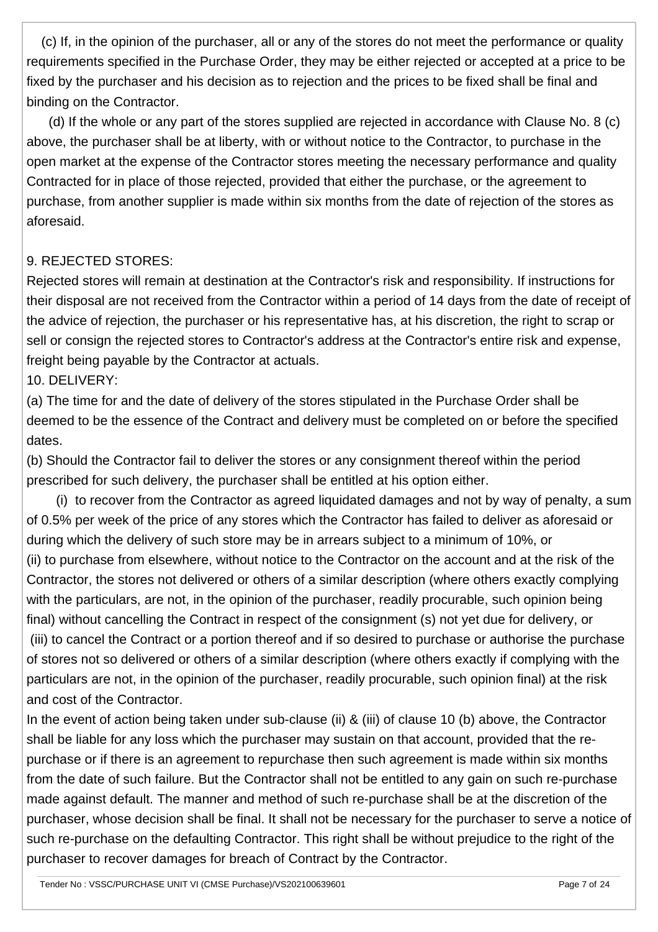(c) If, in the opinion of the purchaser, all or any of the stores do not meet the performance or quality requirements specified in the Purchase Order, they may be either rejected or accepted at a price to be fixed by the purchaser and his decision as to rejection and the prices to be fixed shall be final and binding on the Contractor.

 (d) If the whole or any part of the stores supplied are rejected in accordance with Clause No. 8 (c) above, the purchaser shall be at liberty, with or without notice to the Contractor, to purchase in the open market at the expense of the Contractor stores meeting the necessary performance and quality Contracted for in place of those rejected, provided that either the purchase, or the agreement to purchase, from another supplier is made within six months from the date of rejection of the stores as aforesaid.

#### 9. REJECTED STORES:

Rejected stores will remain at destination at the Contractor's risk and responsibility. If instructions for their disposal are not received from the Contractor within a period of 14 days from the date of receipt of the advice of rejection, the purchaser or his representative has, at his discretion, the right to scrap or sell or consign the rejected stores to Contractor's address at the Contractor's entire risk and expense, freight being payable by the Contractor at actuals.

10. DELIVERY:

(a) The time for and the date of delivery of the stores stipulated in the Purchase Order shall be deemed to be the essence of the Contract and delivery must be completed on or before the specified dates.

(b) Should the Contractor fail to deliver the stores or any consignment thereof within the period prescribed for such delivery, the purchaser shall be entitled at his option either.

 (i) to recover from the Contractor as agreed liquidated damages and not by way of penalty, a sum of 0.5% per week of the price of any stores which the Contractor has failed to deliver as aforesaid or during which the delivery of such store may be in arrears subject to a minimum of 10%, or (ii) to purchase from elsewhere, without notice to the Contractor on the account and at the risk of the Contractor, the stores not delivered or others of a similar description (where others exactly complying with the particulars, are not, in the opinion of the purchaser, readily procurable, such opinion being final) without cancelling the Contract in respect of the consignment (s) not yet due for delivery, or (iii) to cancel the Contract or a portion thereof and if so desired to purchase or authorise the purchase of stores not so delivered or others of a similar description (where others exactly if complying with the particulars are not, in the opinion of the purchaser, readily procurable, such opinion final) at the risk and cost of the Contractor.

In the event of action being taken under sub-clause (ii) & (iii) of clause 10 (b) above, the Contractor shall be liable for any loss which the purchaser may sustain on that account, provided that the repurchase or if there is an agreement to repurchase then such agreement is made within six months from the date of such failure. But the Contractor shall not be entitled to any gain on such re-purchase made against default. The manner and method of such re-purchase shall be at the discretion of the purchaser, whose decision shall be final. It shall not be necessary for the purchaser to serve a notice of such re-purchase on the defaulting Contractor. This right shall be without prejudice to the right of the purchaser to recover damages for breach of Contract by the Contractor.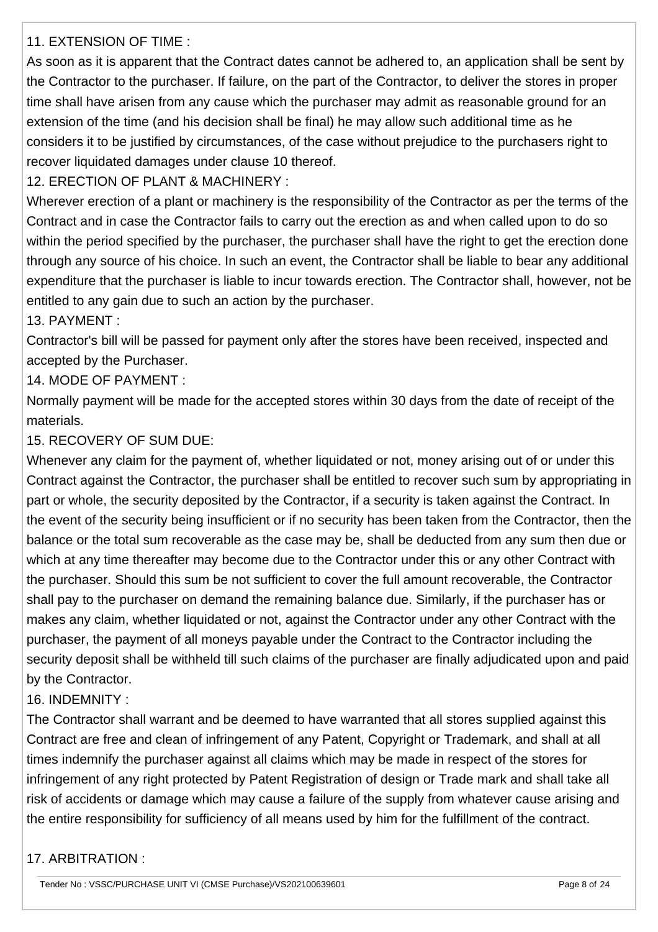#### 11. EXTENSION OF TIME :

As soon as it is apparent that the Contract dates cannot be adhered to, an application shall be sent by the Contractor to the purchaser. If failure, on the part of the Contractor, to deliver the stores in proper time shall have arisen from any cause which the purchaser may admit as reasonable ground for an extension of the time (and his decision shall be final) he may allow such additional time as he considers it to be justified by circumstances, of the case without prejudice to the purchasers right to recover liquidated damages under clause 10 thereof.

12. ERECTION OF PLANT & MACHINERY :

Wherever erection of a plant or machinery is the responsibility of the Contractor as per the terms of the Contract and in case the Contractor fails to carry out the erection as and when called upon to do so within the period specified by the purchaser, the purchaser shall have the right to get the erection done through any source of his choice. In such an event, the Contractor shall be liable to bear any additional expenditure that the purchaser is liable to incur towards erection. The Contractor shall, however, not be entitled to any gain due to such an action by the purchaser.

13. PAYMENT :

Contractor's bill will be passed for payment only after the stores have been received, inspected and accepted by the Purchaser.

14. MODE OF PAYMENT :

Normally payment will be made for the accepted stores within 30 days from the date of receipt of the materials.

#### 15. RECOVERY OF SUM DUE:

Whenever any claim for the payment of, whether liquidated or not, money arising out of or under this Contract against the Contractor, the purchaser shall be entitled to recover such sum by appropriating in part or whole, the security deposited by the Contractor, if a security is taken against the Contract. In the event of the security being insufficient or if no security has been taken from the Contractor, then the balance or the total sum recoverable as the case may be, shall be deducted from any sum then due or which at any time thereafter may become due to the Contractor under this or any other Contract with the purchaser. Should this sum be not sufficient to cover the full amount recoverable, the Contractor shall pay to the purchaser on demand the remaining balance due. Similarly, if the purchaser has or makes any claim, whether liquidated or not, against the Contractor under any other Contract with the purchaser, the payment of all moneys payable under the Contract to the Contractor including the security deposit shall be withheld till such claims of the purchaser are finally adjudicated upon and paid by the Contractor.

16. INDEMNITY :

The Contractor shall warrant and be deemed to have warranted that all stores supplied against this Contract are free and clean of infringement of any Patent, Copyright or Trademark, and shall at all times indemnify the purchaser against all claims which may be made in respect of the stores for infringement of any right protected by Patent Registration of design or Trade mark and shall take all risk of accidents or damage which may cause a failure of the supply from whatever cause arising and the entire responsibility for sufficiency of all means used by him for the fulfillment of the contract.

#### 17. ARBITRATION :

Tender No : VSSC/PURCHASE UNIT VI (CMSE Purchase)/VS202100639601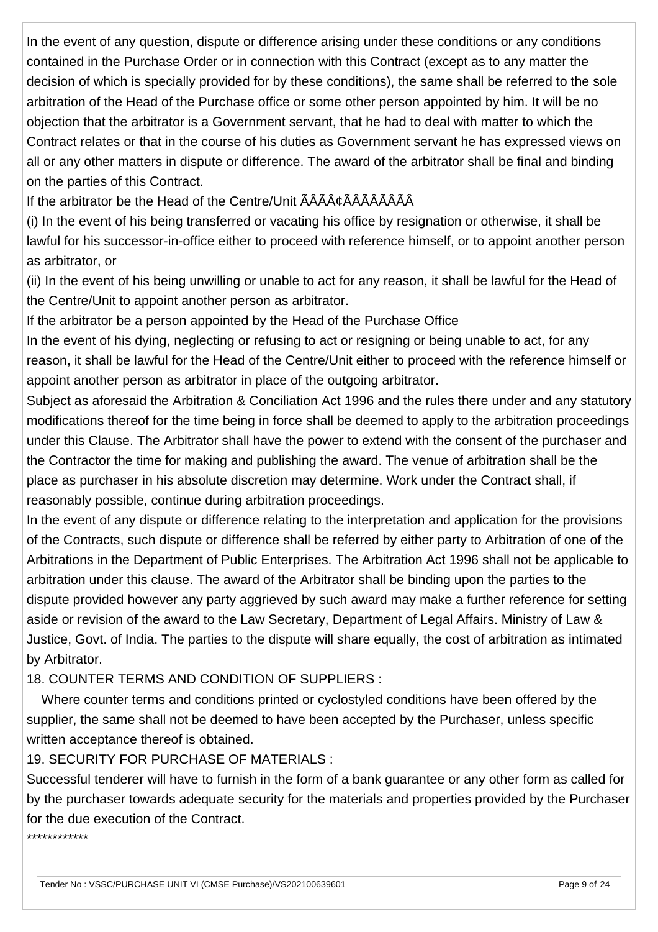In the event of any question, dispute or difference arising under these conditions or any conditions contained in the Purchase Order or in connection with this Contract (except as to any matter the decision of which is specially provided for by these conditions), the same shall be referred to the sole arbitration of the Head of the Purchase office or some other person appointed by him. It will be no objection that the arbitrator is a Government servant, that he had to deal with matter to which the Contract relates or that in the course of his duties as Government servant he has expressed views on all or any other matters in dispute or difference. The award of the arbitrator shall be final and binding on the parties of this Contract.

If the arbitrator be the Head of the Centre/Unit ÃÂâÃÂÃÂÃÂÃÂÂÂÂ

(i) In the event of his being transferred or vacating his office by resignation or otherwise, it shall be lawful for his successor-in-office either to proceed with reference himself, or to appoint another person as arbitrator, or

(ii) In the event of his being unwilling or unable to act for any reason, it shall be lawful for the Head of the Centre/Unit to appoint another person as arbitrator.

If the arbitrator be a person appointed by the Head of the Purchase Office

In the event of his dying, neglecting or refusing to act or resigning or being unable to act, for any reason, it shall be lawful for the Head of the Centre/Unit either to proceed with the reference himself or appoint another person as arbitrator in place of the outgoing arbitrator.

Subject as aforesaid the Arbitration & Conciliation Act 1996 and the rules there under and any statutory modifications thereof for the time being in force shall be deemed to apply to the arbitration proceedings under this Clause. The Arbitrator shall have the power to extend with the consent of the purchaser and the Contractor the time for making and publishing the award. The venue of arbitration shall be the place as purchaser in his absolute discretion may determine. Work under the Contract shall, if reasonably possible, continue during arbitration proceedings.

In the event of any dispute or difference relating to the interpretation and application for the provisions of the Contracts, such dispute or difference shall be referred by either party to Arbitration of one of the Arbitrations in the Department of Public Enterprises. The Arbitration Act 1996 shall not be applicable to arbitration under this clause. The award of the Arbitrator shall be binding upon the parties to the dispute provided however any party aggrieved by such award may make a further reference for setting aside or revision of the award to the Law Secretary, Department of Legal Affairs. Ministry of Law & Justice, Govt. of India. The parties to the dispute will share equally, the cost of arbitration as intimated by Arbitrator.

18. COUNTER TERMS AND CONDITION OF SUPPLIERS :

 Where counter terms and conditions printed or cyclostyled conditions have been offered by the supplier, the same shall not be deemed to have been accepted by the Purchaser, unless specific written acceptance thereof is obtained.

#### 19. SECURITY FOR PURCHASE OF MATERIALS :

Successful tenderer will have to furnish in the form of a bank guarantee or any other form as called for by the purchaser towards adequate security for the materials and properties provided by the Purchaser for the due execution of the Contract.

\*\*\*\*\*\*\*\*\*\*\*\*\*\*\*\*\*\*\*\*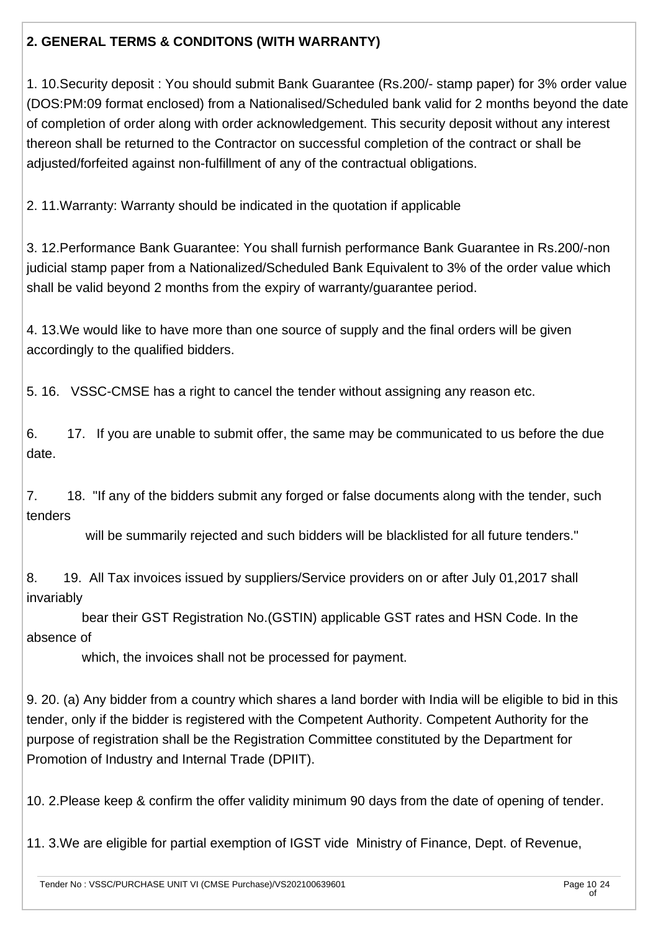### **2. GENERAL TERMS & CONDITONS (WITH WARRANTY)**

1. 10.Security deposit : You should submit Bank Guarantee (Rs.200/- stamp paper) for 3% order value (DOS:PM:09 format enclosed) from a Nationalised/Scheduled bank valid for 2 months beyond the date of completion of order along with order acknowledgement. This security deposit without any interest thereon shall be returned to the Contractor on successful completion of the contract or shall be adjusted/forfeited against non-fulfillment of any of the contractual obligations.

2. 11.Warranty: Warranty should be indicated in the quotation if applicable

3. 12.Performance Bank Guarantee: You shall furnish performance Bank Guarantee in Rs.200/-non judicial stamp paper from a Nationalized/Scheduled Bank Equivalent to 3% of the order value which shall be valid beyond 2 months from the expiry of warranty/guarantee period.

4. 13.We would like to have more than one source of supply and the final orders will be given accordingly to the qualified bidders.

5. 16. VSSC-CMSE has a right to cancel the tender without assigning any reason etc.

6. 17. If you are unable to submit offer, the same may be communicated to us before the due date.

7. 18. "If any of the bidders submit any forged or false documents along with the tender, such tenders

will be summarily rejected and such bidders will be blacklisted for all future tenders."

8. 19. All Tax invoices issued by suppliers/Service providers on or after July 01,2017 shall invariably

 bear their GST Registration No.(GSTIN) applicable GST rates and HSN Code. In the absence of

which, the invoices shall not be processed for payment.

9. 20. (a) Any bidder from a country which shares a land border with India will be eligible to bid in this tender, only if the bidder is registered with the Competent Authority. Competent Authority for the purpose of registration shall be the Registration Committee constituted by the Department for Promotion of Industry and Internal Trade (DPIIT).

10. 2.Please keep & confirm the offer validity minimum 90 days from the date of opening of tender.

11. 3.We are eligible for partial exemption of IGST vide Ministry of Finance, Dept. of Revenue,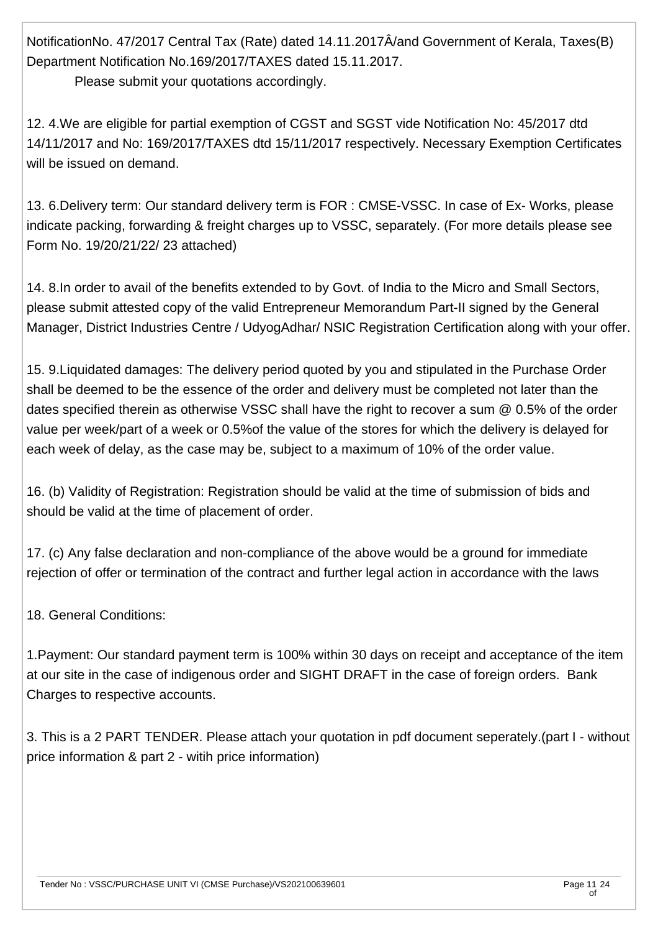NotificationNo. 47/2017 Central Tax (Rate) dated 14.11.2017Â/and Government of Kerala, Taxes(B) Department Notification No.169/2017/TAXES dated 15.11.2017.

Please submit your quotations accordingly.

12. 4.We are eligible for partial exemption of CGST and SGST vide Notification No: 45/2017 dtd 14/11/2017 and No: 169/2017/TAXES dtd 15/11/2017 respectively. Necessary Exemption Certificates will be issued on demand.

13. 6.Delivery term: Our standard delivery term is FOR : CMSE-VSSC. In case of Ex- Works, please indicate packing, forwarding & freight charges up to VSSC, separately. (For more details please see Form No. 19/20/21/22/ 23 attached)

14. 8.In order to avail of the benefits extended to by Govt. of India to the Micro and Small Sectors, please submit attested copy of the valid Entrepreneur Memorandum Part-II signed by the General Manager, District Industries Centre / UdyogAdhar/ NSIC Registration Certification along with your offer.

15. 9.Liquidated damages: The delivery period quoted by you and stipulated in the Purchase Order shall be deemed to be the essence of the order and delivery must be completed not later than the dates specified therein as otherwise VSSC shall have the right to recover a sum @ 0.5% of the order value per week/part of a week or 0.5%of the value of the stores for which the delivery is delayed for each week of delay, as the case may be, subject to a maximum of 10% of the order value.

16. (b) Validity of Registration: Registration should be valid at the time of submission of bids and should be valid at the time of placement of order.

17. (c) Any false declaration and non-compliance of the above would be a ground for immediate rejection of offer or termination of the contract and further legal action in accordance with the laws

18. General Conditions:

1.Payment: Our standard payment term is 100% within 30 days on receipt and acceptance of the item at our site in the case of indigenous order and SIGHT DRAFT in the case of foreign orders. Bank Charges to respective accounts.

3. This is a 2 PART TENDER. Please attach your quotation in pdf document seperately.(part I - without price information & part 2 - witih price information)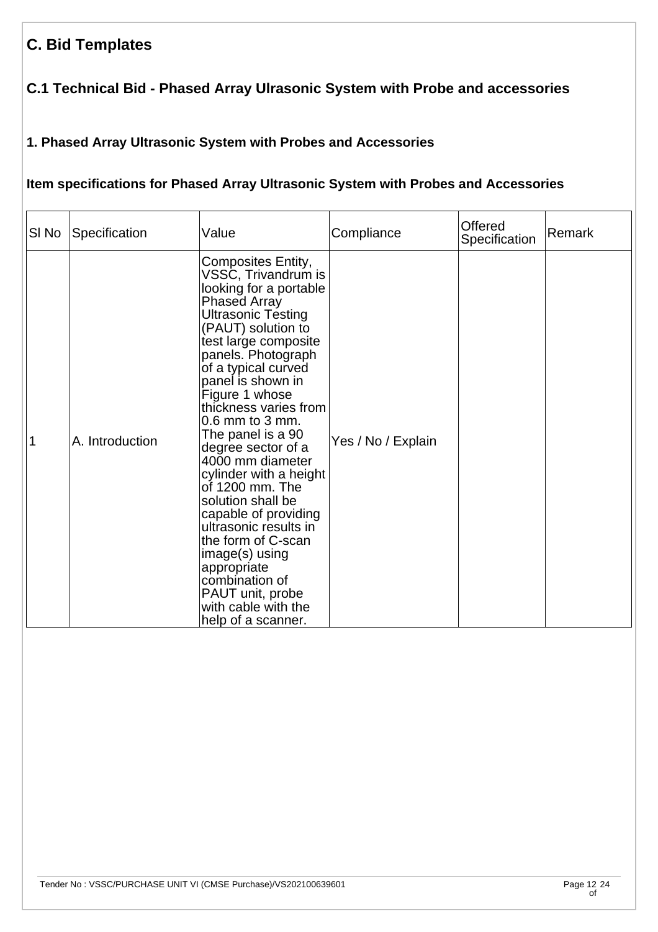# **C. Bid Templates**

### **C.1 Technical Bid - Phased Array Ulrasonic System with Probe and accessories**

### **1. Phased Array Ultrasonic System with Probes and Accessories**

#### **Item specifications for Phased Array Ultrasonic System with Probes and Accessories**

| SI No | Specification   | Value                                                                                                                                                                                                                                                                                                                                                                                                                                                                                                                                                                                                                               | Compliance         | <b>Offered</b><br>Specification | Remark |
|-------|-----------------|-------------------------------------------------------------------------------------------------------------------------------------------------------------------------------------------------------------------------------------------------------------------------------------------------------------------------------------------------------------------------------------------------------------------------------------------------------------------------------------------------------------------------------------------------------------------------------------------------------------------------------------|--------------------|---------------------------------|--------|
| 1     | A. Introduction | Composites Entity,<br>VSSC, Trivandrum is<br>looking for a portable<br><b>Phased Array</b><br><b>Ultrasonic Testing</b><br>(PAUT) solution to<br>test large composite<br>panels. Photograph<br>of a typical curved<br>panel is shown in<br>Figure 1 whose<br>thickness varies from<br>$0.6$ mm to 3 mm.<br>The panel is a 90<br>degree sector of a<br>4000 mm diameter<br>cylinder with a height<br>of 1200 mm. The<br>solution shall be<br>capable of providing<br>ultrasonic results in<br>the form of C-scan<br>image(s) using<br>appropriate<br>combination of<br>PAUT unit, probe<br>with cable with the<br>help of a scanner. | Yes / No / Explain |                                 |        |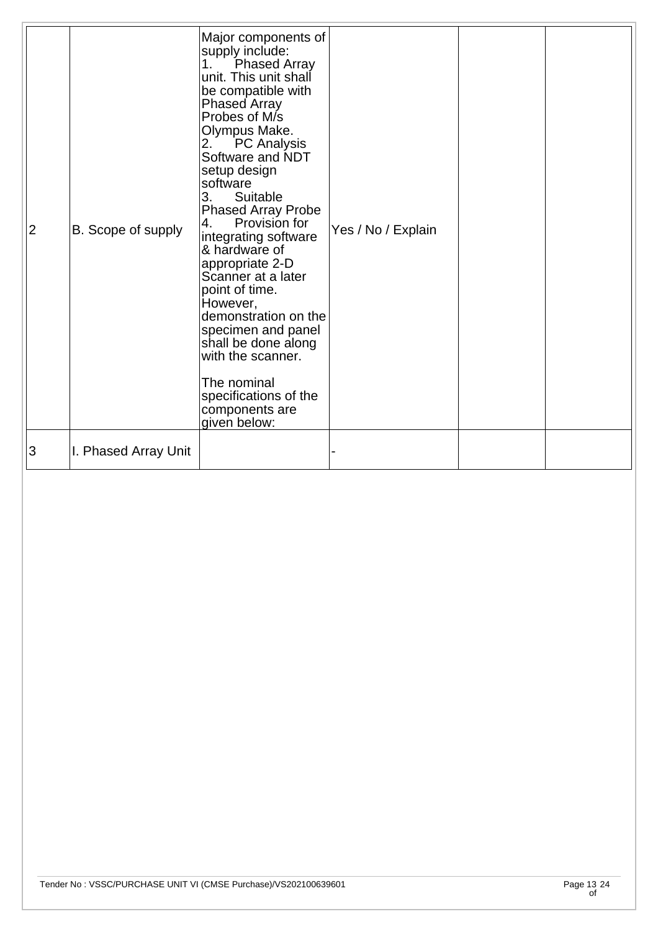| $\overline{2}$ | B. Scope of supply   | Major components of<br>supply include:<br><b>Phased Array</b><br>1.<br>unit. This unit shall<br>be compatible with<br><b>Phased Array</b><br>Probes of M/s<br>Olympus Make.<br>2.<br><b>PC</b> Analysis<br>Software and NDT<br>setup design<br>software<br>3.<br>Suitable<br><b>Phased Array Probe</b><br>Provision for<br>4.<br>integrating software<br>& hardware of<br>appropriate 2-D<br>Scanner at a later<br>point of time.<br>However,<br>demonstration on the<br>specimen and panel<br>shall be done along<br>with the scanner.<br>The nominal<br>specifications of the<br>components are<br>given below: | Yes / No / Explain |  |
|----------------|----------------------|-------------------------------------------------------------------------------------------------------------------------------------------------------------------------------------------------------------------------------------------------------------------------------------------------------------------------------------------------------------------------------------------------------------------------------------------------------------------------------------------------------------------------------------------------------------------------------------------------------------------|--------------------|--|
| 3              | I. Phased Array Unit |                                                                                                                                                                                                                                                                                                                                                                                                                                                                                                                                                                                                                   |                    |  |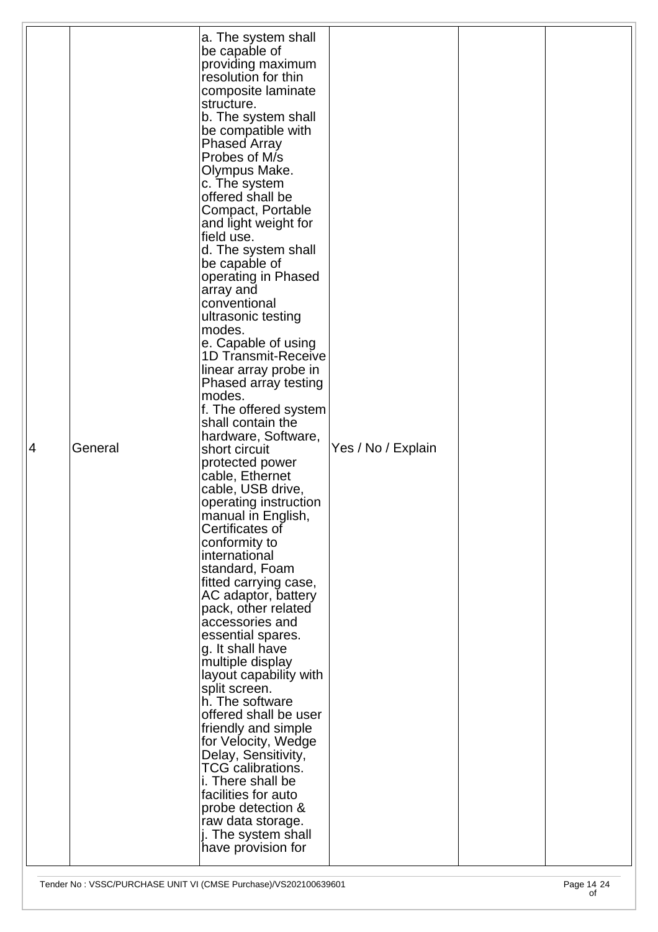| 4 | General | a. The system shall<br>be capable of<br>providing maximum<br>resolution for thin<br>composite laminate<br>structure.<br>b. The system shall<br>be compatible with<br><b>Phased Array</b><br>Probes of M/s<br>Olympus Make.<br>c. The system<br>offered shall be<br>Compact, Portable<br>and light weight for<br>field use.<br>d. The system shall<br>be capable of<br>operating in Phased<br>array and<br>conventional<br>ultrasonic testing<br>modes.<br>e. Capable of using<br><b>1D Transmit-Receive</b><br>linear array probe in<br>Phased array testing<br>modes.<br>f. The offered system<br>shall contain the<br>hardware, Software,<br>short circuit<br>protected power<br>cable, Ethernet<br>cable, USB drive,<br>operating instruction<br>manual in English,<br>Certificates of<br>conformity to<br>international<br>standard, Foam<br>fitted carrying case,<br>AC adaptor, battery<br>pack, other related<br>accessories and<br>essential spares.<br>g. It shall have<br>multiple display<br>layout capability with<br>split screen.<br>h. The software<br>offered shall be user<br>friendly and simple<br>for Velocity, Wedge<br>Delay, Sensitivity,<br><b>TCG calibrations.</b><br>i. There shall be<br>facilities for auto<br>probe detection & | Yes / No / Explain |  |
|---|---------|---------------------------------------------------------------------------------------------------------------------------------------------------------------------------------------------------------------------------------------------------------------------------------------------------------------------------------------------------------------------------------------------------------------------------------------------------------------------------------------------------------------------------------------------------------------------------------------------------------------------------------------------------------------------------------------------------------------------------------------------------------------------------------------------------------------------------------------------------------------------------------------------------------------------------------------------------------------------------------------------------------------------------------------------------------------------------------------------------------------------------------------------------------------------------------------------------------------------------------------------------------------|--------------------|--|
|   |         | raw data storage.<br>j. The system shall<br>have provision for                                                                                                                                                                                                                                                                                                                                                                                                                                                                                                                                                                                                                                                                                                                                                                                                                                                                                                                                                                                                                                                                                                                                                                                                |                    |  |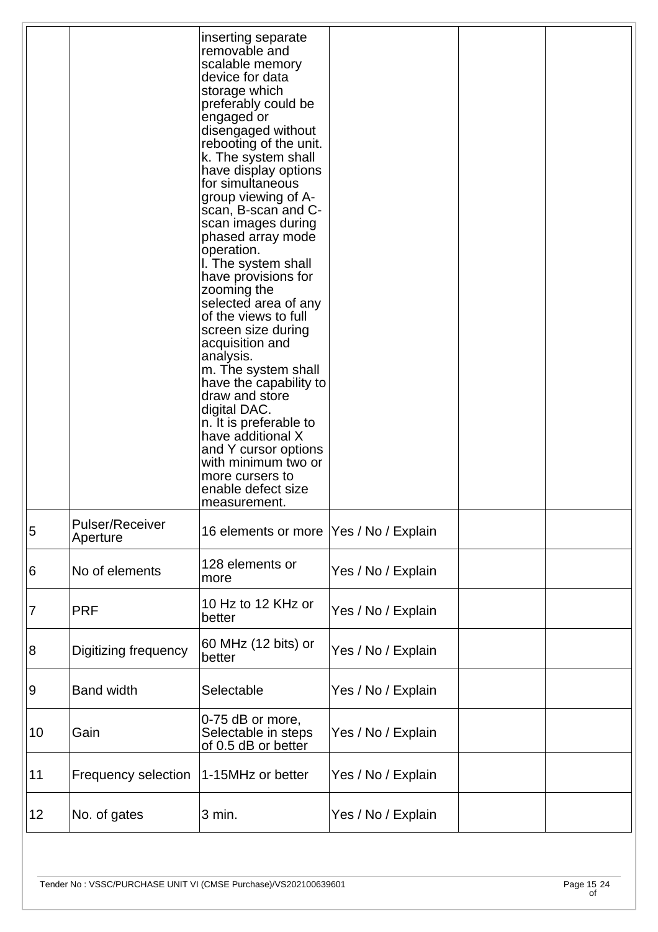|                  |                                    | inserting separate<br>removable and<br>scalable memory<br>device for data<br>storage which<br>preferably could be<br>engaged or<br>disengaged without<br>rebooting of the unit.<br>k. The system shall<br>have display options<br>for simultaneous<br>group viewing of A-<br>scan, B-scan and C-<br>scan images during<br>phased array mode<br>operation.<br>I. The system shall<br>have provisions for<br>zooming the<br>selected area of any<br>of the views to full<br>screen size during<br>acquisition and<br>analysis.<br>m. The system shall<br>have the capability to<br>draw and store<br>digital DAC.<br>n. It is preferable to<br>have additional X<br>and Y cursor options<br>with minimum two or<br>more cursers to<br>enable defect size<br>measurement. |                    |  |
|------------------|------------------------------------|------------------------------------------------------------------------------------------------------------------------------------------------------------------------------------------------------------------------------------------------------------------------------------------------------------------------------------------------------------------------------------------------------------------------------------------------------------------------------------------------------------------------------------------------------------------------------------------------------------------------------------------------------------------------------------------------------------------------------------------------------------------------|--------------------|--|
| 5                | <b>Pulser/Receiver</b><br>Aperture | 16 elements or more                                                                                                                                                                                                                                                                                                                                                                                                                                                                                                                                                                                                                                                                                                                                                    | Yes / No / Explain |  |
| 6                | No of elements                     | 128 elements or<br>more                                                                                                                                                                                                                                                                                                                                                                                                                                                                                                                                                                                                                                                                                                                                                | Yes / No / Explain |  |
| 7                | <b>PRF</b>                         | 10 Hz to 12 KHz or<br>better                                                                                                                                                                                                                                                                                                                                                                                                                                                                                                                                                                                                                                                                                                                                           | Yes / No / Explain |  |
| $\boldsymbol{8}$ | Digitizing frequency               | 60 MHz (12 bits) or<br>better                                                                                                                                                                                                                                                                                                                                                                                                                                                                                                                                                                                                                                                                                                                                          | Yes / No / Explain |  |
| 9                | <b>Band width</b>                  | Selectable                                                                                                                                                                                                                                                                                                                                                                                                                                                                                                                                                                                                                                                                                                                                                             | Yes / No / Explain |  |
| 10               | Gain                               | 0-75 dB or more,<br>Selectable in steps<br>of 0.5 dB or better                                                                                                                                                                                                                                                                                                                                                                                                                                                                                                                                                                                                                                                                                                         | Yes / No / Explain |  |
| 11               | <b>Frequency selection</b>         | 1-15MHz or better                                                                                                                                                                                                                                                                                                                                                                                                                                                                                                                                                                                                                                                                                                                                                      | Yes / No / Explain |  |
| 12               | No. of gates                       | 3 min.                                                                                                                                                                                                                                                                                                                                                                                                                                                                                                                                                                                                                                                                                                                                                                 | Yes / No / Explain |  |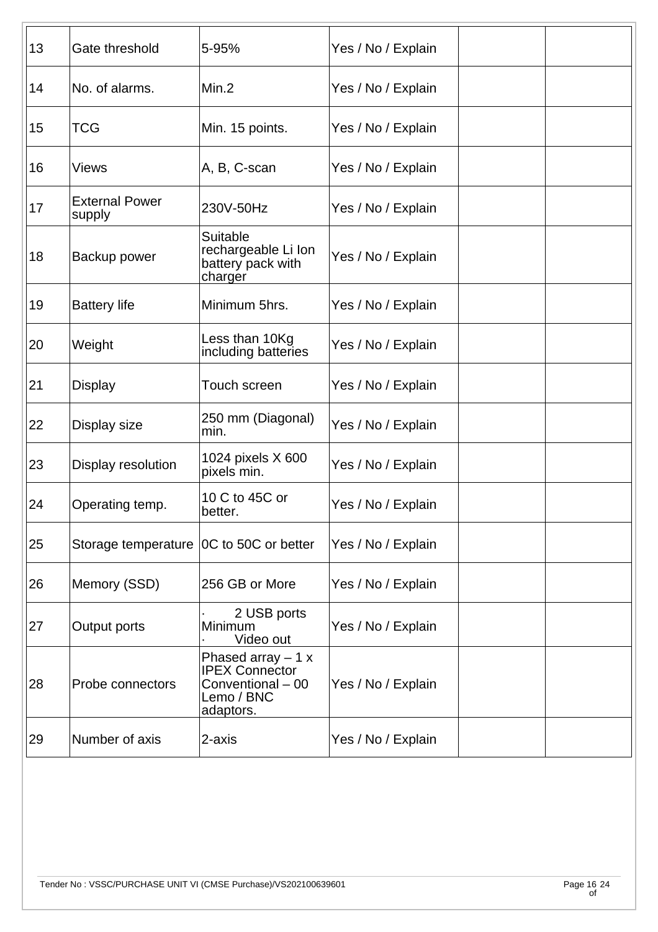| 13 | Gate threshold                            | 5-95%                                                                                        | Yes / No / Explain |  |  |
|----|-------------------------------------------|----------------------------------------------------------------------------------------------|--------------------|--|--|
| 14 | No. of alarms.                            | Min.2                                                                                        | Yes / No / Explain |  |  |
| 15 | <b>TCG</b>                                | Min. 15 points.                                                                              | Yes / No / Explain |  |  |
| 16 | <b>Views</b>                              | A, B, C-scan                                                                                 | Yes / No / Explain |  |  |
| 17 | <b>External Power</b><br>supply           | 230V-50Hz                                                                                    | Yes / No / Explain |  |  |
| 18 | Backup power                              | Suitable<br>rechargeable Li lon<br>battery pack with<br>charger                              | Yes / No / Explain |  |  |
| 19 | <b>Battery life</b>                       | Minimum 5hrs.                                                                                | Yes / No / Explain |  |  |
| 20 | Weight                                    | Less than 10Kg<br>including batteries                                                        | Yes / No / Explain |  |  |
| 21 | <b>Display</b>                            | Touch screen                                                                                 | Yes / No / Explain |  |  |
| 22 | Display size                              | 250 mm (Diagonal)<br>min.                                                                    | Yes / No / Explain |  |  |
| 23 | Display resolution                        | 1024 pixels X 600<br>pixels min.                                                             | Yes / No / Explain |  |  |
| 24 | Operating temp.                           | 10 C to 45C or<br>better.                                                                    | Yes / No / Explain |  |  |
| 25 | Storage temperature   0C to 50C or better |                                                                                              | Yes / No / Explain |  |  |
| 26 | Memory (SSD)                              | 256 GB or More                                                                               | Yes / No / Explain |  |  |
| 27 | Output ports                              | 2 USB ports<br>Minimum<br>Video out                                                          | Yes / No / Explain |  |  |
| 28 | Probe connectors                          | Phased array $-1 x$<br><b>IPEX Connector</b><br>Conventional - 00<br>Lemo / BNC<br>adaptors. | Yes / No / Explain |  |  |
| 29 | Number of axis                            | 2-axis                                                                                       | Yes / No / Explain |  |  |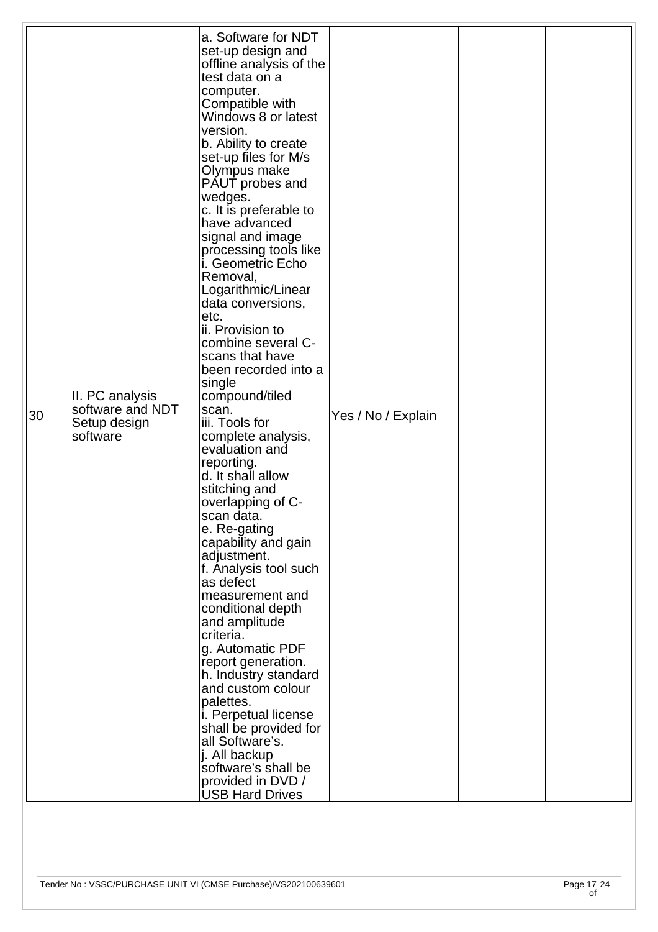|    |                  | a. Software for NDT         |                    |  |
|----|------------------|-----------------------------|--------------------|--|
|    |                  | set-up design and           |                    |  |
|    |                  | offline analysis of the     |                    |  |
|    |                  | test data on a              |                    |  |
|    |                  | computer.                   |                    |  |
|    |                  |                             |                    |  |
|    |                  | Compatible with             |                    |  |
|    |                  | Windows 8 or latest         |                    |  |
|    |                  | version.                    |                    |  |
|    |                  | b. Ability to create        |                    |  |
|    |                  | set-up files for M/s        |                    |  |
|    |                  | Olympus make                |                    |  |
|    |                  | PAUT probes and             |                    |  |
|    |                  | wedges.                     |                    |  |
|    |                  | c. It is preferable to      |                    |  |
|    |                  | have advanced               |                    |  |
|    |                  | signal and image            |                    |  |
|    |                  |                             |                    |  |
|    |                  | processing tools like       |                    |  |
|    |                  | i. Geometric Echo           |                    |  |
|    |                  | Removal,                    |                    |  |
|    |                  | Logarithmic/Linear          |                    |  |
|    |                  | data conversions,           |                    |  |
|    |                  | etc.                        |                    |  |
|    |                  | ii. Provision to            |                    |  |
|    |                  | combine several C-          |                    |  |
|    |                  | scans that have             |                    |  |
|    |                  | been recorded into a        |                    |  |
|    |                  | single                      |                    |  |
|    | II. PC analysis  | compound/tiled              |                    |  |
|    | software and NDT | scan.                       |                    |  |
| 30 | Setup design     | iii. Tools for              | Yes / No / Explain |  |
|    | software         | complete analysis,          |                    |  |
|    |                  | evaluation and              |                    |  |
|    |                  | reporting.                  |                    |  |
|    |                  | d. It shall allow           |                    |  |
|    |                  | stitching and               |                    |  |
|    |                  |                             |                    |  |
|    |                  | overlapping of C-           |                    |  |
|    |                  | scan data.                  |                    |  |
|    |                  | e. Re-gating                |                    |  |
|    |                  | capability and gain         |                    |  |
|    |                  | adjustment.                 |                    |  |
|    |                  | f. Analysis tool such       |                    |  |
|    |                  | as defect                   |                    |  |
|    |                  | measurement and             |                    |  |
|    |                  | conditional depth           |                    |  |
|    |                  | and amplitude               |                    |  |
|    |                  | criteria.                   |                    |  |
|    |                  | g. Automatic PDF            |                    |  |
|    |                  | report generation.          |                    |  |
|    |                  | h. Industry standard        |                    |  |
|    |                  | and custom colour           |                    |  |
|    |                  | palettes.                   |                    |  |
|    |                  | <i>i.</i> Perpetual license |                    |  |
|    |                  | shall be provided for       |                    |  |
|    |                  | all Software's.             |                    |  |
|    |                  | j. All backup               |                    |  |
|    |                  | software's shall be         |                    |  |
|    |                  | provided in DVD /           |                    |  |
|    |                  |                             |                    |  |
|    |                  | <b>USB Hard Drives</b>      |                    |  |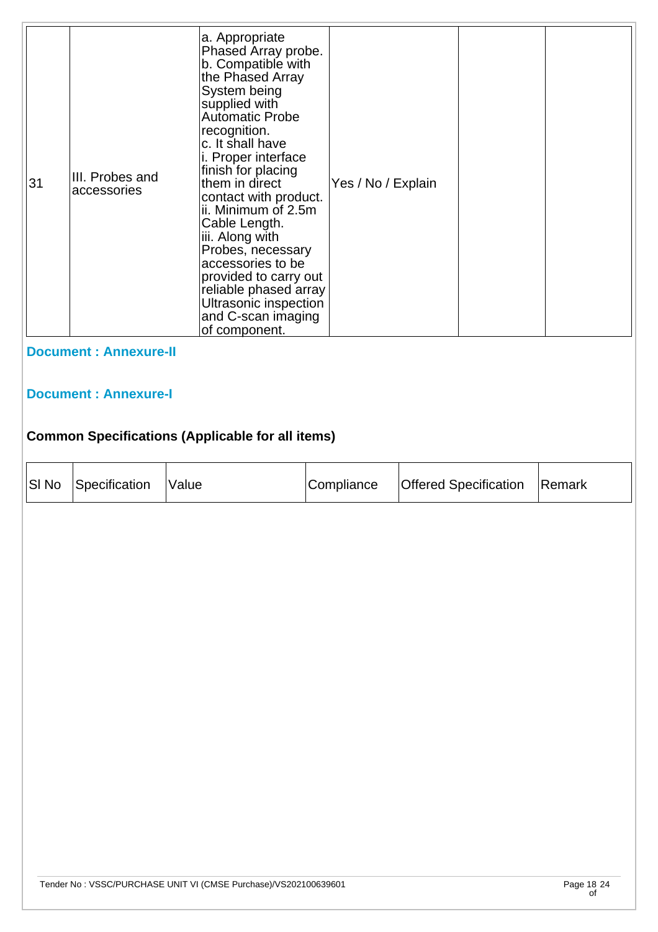| 31                          | III. Probes and<br>accessories | a. Appropriate<br>Phased Array probe.<br>b. Compatible with<br>the Phased Array<br>System being<br>supplied with<br><b>Automatic Probe</b><br>recognition.<br>c. It shall have<br>i. Proper interface<br>finish for placing<br>them in direct<br>contact with product.<br>ii. Minimum of 2.5m<br>Cable Length.<br>iii. Along with<br>Probes, necessary<br>accessories to be<br>provided to carry out<br>reliable phased array<br>Ultrasonic inspection<br>and C-scan imaging<br>of component. | Yes / No / Explain |  |  |  |  |
|-----------------------------|--------------------------------|-----------------------------------------------------------------------------------------------------------------------------------------------------------------------------------------------------------------------------------------------------------------------------------------------------------------------------------------------------------------------------------------------------------------------------------------------------------------------------------------------|--------------------|--|--|--|--|
|                             | <b>Document: Annexure-II</b>   |                                                                                                                                                                                                                                                                                                                                                                                                                                                                                               |                    |  |  |  |  |
| <b>Document: Annexure-I</b> |                                |                                                                                                                                                                                                                                                                                                                                                                                                                                                                                               |                    |  |  |  |  |
|                             |                                | <b>Common Specifications (Applicable for all items)</b>                                                                                                                                                                                                                                                                                                                                                                                                                                       |                    |  |  |  |  |

| SI No | Specification | Value | Compliance | Offered Specification | Remark |
|-------|---------------|-------|------------|-----------------------|--------|
|       |               |       |            |                       |        |
|       |               |       |            |                       |        |
|       |               |       |            |                       |        |
|       |               |       |            |                       |        |
|       |               |       |            |                       |        |
|       |               |       |            |                       |        |
|       |               |       |            |                       |        |
|       |               |       |            |                       |        |
|       |               |       |            |                       |        |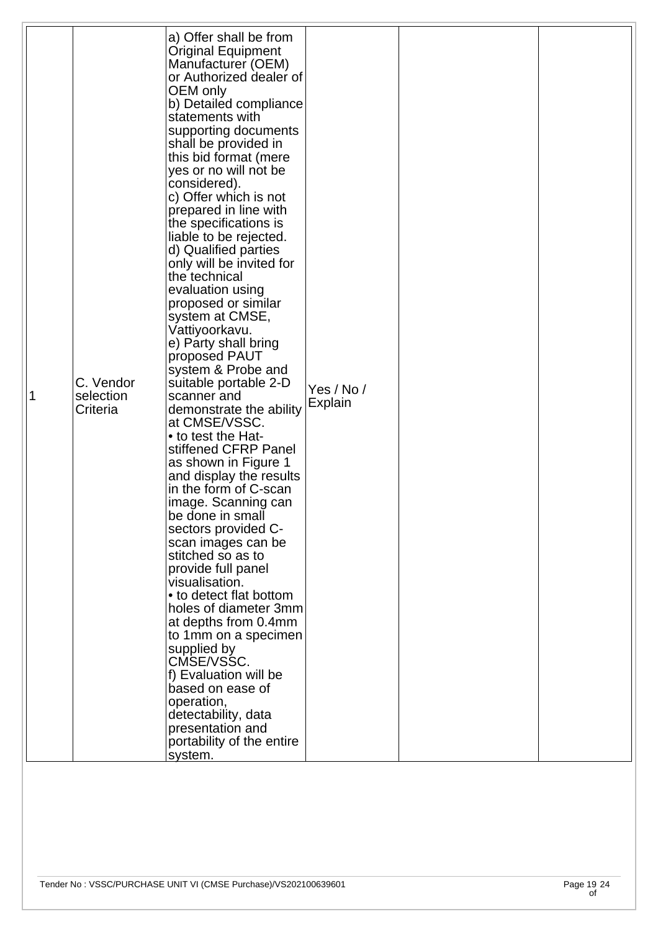| 1 | C. Vendor<br>selection<br>Criteria | a) Offer shall be from<br><b>Original Equipment</b><br>Manufacturer (OEM)<br>or Authorized dealer of<br>OEM only<br>b) Detailed compliance<br>statements with<br>supporting documents<br>shall be provided in<br>this bid format (mere<br>yes or no will not be<br>considered).<br>c) Offer which is not<br>prepared in line with<br>the specifications is<br>liable to be rejected.<br>d) Qualified parties<br>only will be invited for<br>the technical<br>evaluation using<br>proposed or similar<br>system at CMSE,<br>Vattiyoorkavu.<br>e) Party shall bring<br>proposed PAUT<br>system & Probe and<br>suitable portable 2-D<br>scanner and<br>demonstrate the ability<br>at CMSE/VSSC.<br>• to test the Hat-<br>stiffened CFRP Panel<br>as shown in Figure 1<br>and display the results<br>in the form of C-scan<br>image. Scanning can<br>be done in small<br>sectors provided C-<br>scan images can be<br>stitched so as to<br>provide full panel<br>visualisation.<br>• to detect flat bottom<br>holes of diameter 3mm<br>at depths from 0.4mm<br>to 1mm on a specimen<br>supplied by<br>CMSE/VSSC.<br>f) Evaluation will be<br>based on ease of<br>operation,<br>detectability, data<br>presentation and<br>portability of the entire<br>system. | Yes / No /<br>Explain |  |
|---|------------------------------------|------------------------------------------------------------------------------------------------------------------------------------------------------------------------------------------------------------------------------------------------------------------------------------------------------------------------------------------------------------------------------------------------------------------------------------------------------------------------------------------------------------------------------------------------------------------------------------------------------------------------------------------------------------------------------------------------------------------------------------------------------------------------------------------------------------------------------------------------------------------------------------------------------------------------------------------------------------------------------------------------------------------------------------------------------------------------------------------------------------------------------------------------------------------------------------------------------------------------------------------------------------|-----------------------|--|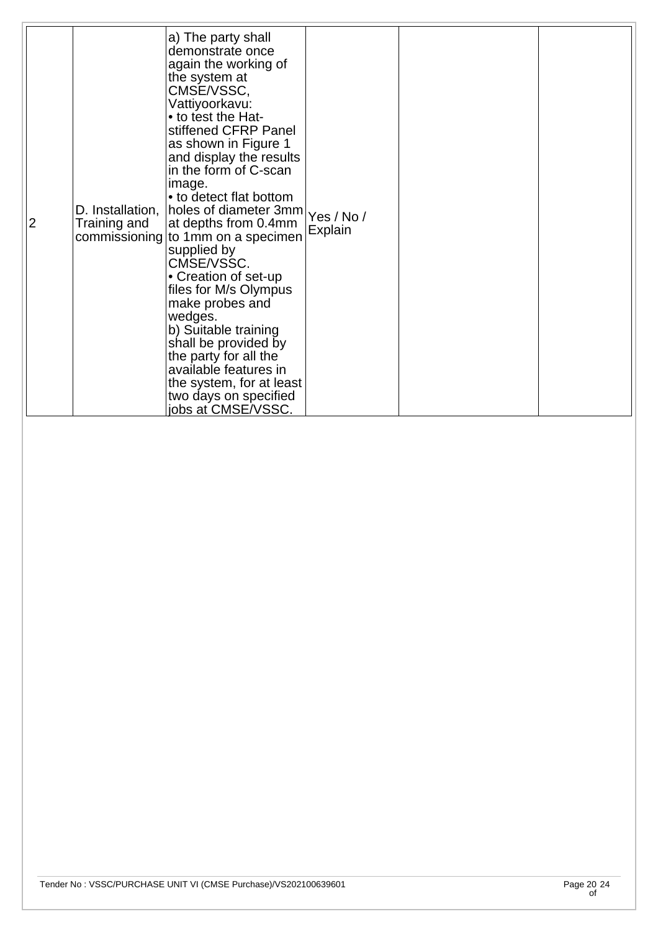| $\overline{2}$<br>Training and | a) The party shall<br>demonstrate once<br>again the working of<br>the system at<br>CMSE/VSSC,<br>Vattiyoorkavu:<br>• to test the Hat-<br>stiffened CFRP Panel<br>as shown in Figure 1<br>and display the results<br>in the form of C-scan<br>image.<br>• to detect flat bottom<br>D. Installation, holes of diameter 3mm Yes / No /<br>at depths from 0.4mm<br>commissioning to 1mm on a specimen<br>supplied by<br>CMSE/VSSC.<br>• Creation of set-up<br>files for M/s Olympus<br>make probes and<br>wedges.<br>b) Suitable training<br>shall be provided by<br>the party for all the<br>available features in<br>the system, for at least<br>two days on specified<br>jobs at CMSE/VSSC. | Explain |  |  |
|--------------------------------|--------------------------------------------------------------------------------------------------------------------------------------------------------------------------------------------------------------------------------------------------------------------------------------------------------------------------------------------------------------------------------------------------------------------------------------------------------------------------------------------------------------------------------------------------------------------------------------------------------------------------------------------------------------------------------------------|---------|--|--|
|--------------------------------|--------------------------------------------------------------------------------------------------------------------------------------------------------------------------------------------------------------------------------------------------------------------------------------------------------------------------------------------------------------------------------------------------------------------------------------------------------------------------------------------------------------------------------------------------------------------------------------------------------------------------------------------------------------------------------------------|---------|--|--|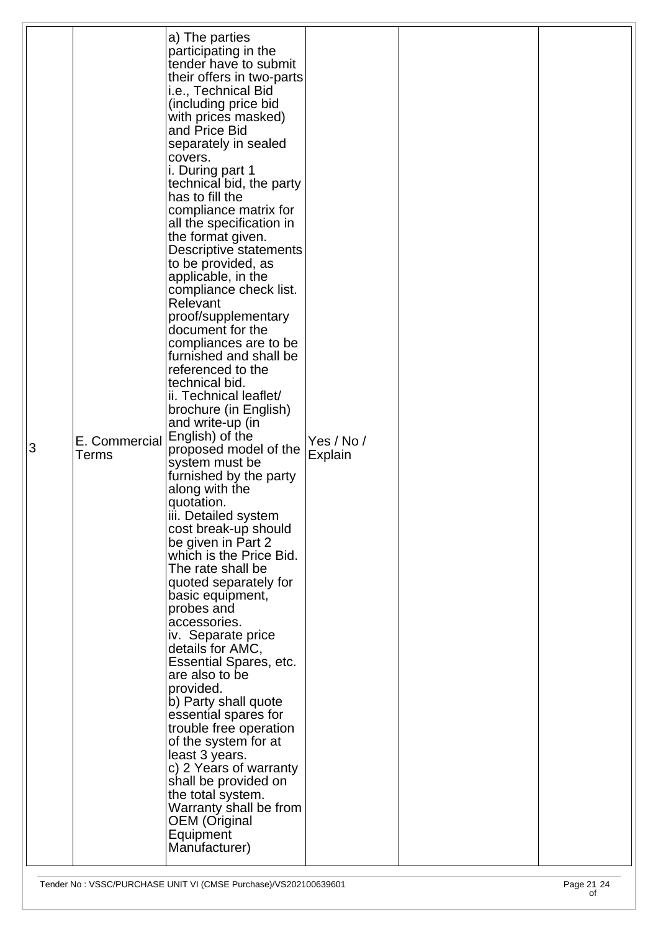| 3 | E. Commercial<br>Terms | a) The parties<br>participating in the<br>tender have to submit<br>their offers in two-parts<br>i.e., Technical Bid<br>(including price bid<br>with prices masked)<br>and Price Bid<br>separately in sealed<br>covers.<br>i. During part 1<br>technical bid, the party<br>has to fill the<br>compliance matrix for<br>all the specification in<br>the format given.<br><b>Descriptive statements</b><br>to be provided, as<br>applicable, in the<br>compliance check list.<br>Relevant<br>proof/supplementary<br>document for the<br>compliances are to be<br>furnished and shall be<br>referenced to the<br>technical bid.<br>ii. Technical leaflet/<br>brochure (in English)<br>and write-up (in<br>English) of the<br>proposed model of the<br>system must be<br>furnished by the party<br>along with the<br>quotation.<br>iii. Detailed system<br>cost break-up should<br>be given in Part 2<br>which is the Price Bid.<br>The rate shall be<br>quoted separately for<br>basic equipment,<br>probes and<br>accessories.<br>iv. Separate price<br>details for AMC,<br><b>Essential Spares, etc.</b><br>are also to be<br>provided.<br>b) Party shall quote<br>essential spares for<br>trouble free operation<br>of the system for at<br>least 3 years.<br>c) 2 Years of warranty<br>shall be provided on<br>the total system.<br>Warranty shall be from<br><b>OEM</b> (Original<br>Equipment<br>Manufacturer) | Yes / No /<br>Explain |  |  |
|---|------------------------|------------------------------------------------------------------------------------------------------------------------------------------------------------------------------------------------------------------------------------------------------------------------------------------------------------------------------------------------------------------------------------------------------------------------------------------------------------------------------------------------------------------------------------------------------------------------------------------------------------------------------------------------------------------------------------------------------------------------------------------------------------------------------------------------------------------------------------------------------------------------------------------------------------------------------------------------------------------------------------------------------------------------------------------------------------------------------------------------------------------------------------------------------------------------------------------------------------------------------------------------------------------------------------------------------------------------------------------------------------------------------------------------------------------|-----------------------|--|--|
|---|------------------------|------------------------------------------------------------------------------------------------------------------------------------------------------------------------------------------------------------------------------------------------------------------------------------------------------------------------------------------------------------------------------------------------------------------------------------------------------------------------------------------------------------------------------------------------------------------------------------------------------------------------------------------------------------------------------------------------------------------------------------------------------------------------------------------------------------------------------------------------------------------------------------------------------------------------------------------------------------------------------------------------------------------------------------------------------------------------------------------------------------------------------------------------------------------------------------------------------------------------------------------------------------------------------------------------------------------------------------------------------------------------------------------------------------------|-----------------------|--|--|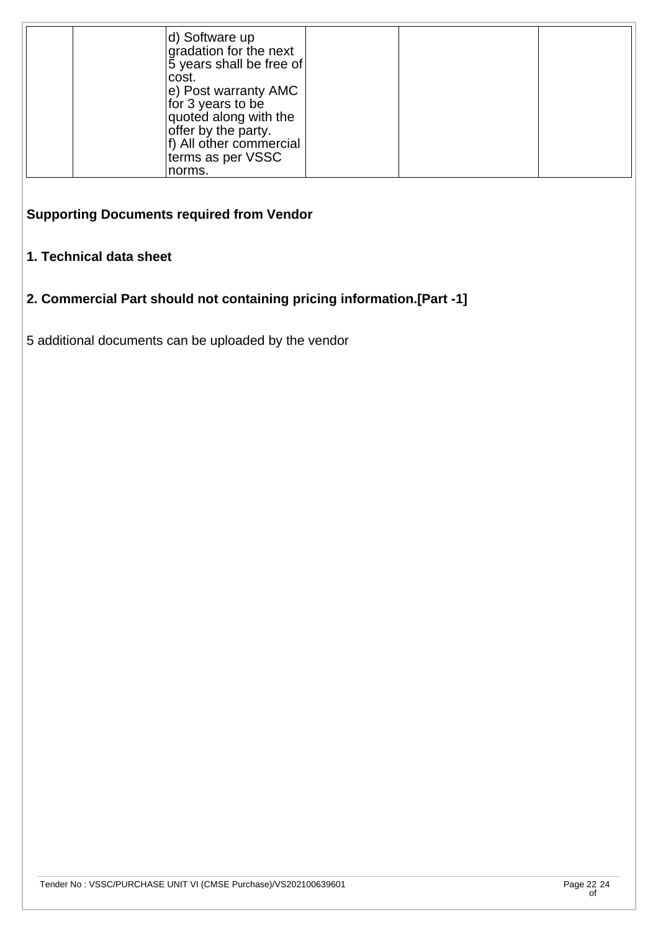| d) Software up<br>gradation for the next<br>$ 5$ years shall be free of<br>lcost.<br>$ e\rangle$ Post warranty AMC<br>for 3 years to be<br>quoted along with the<br>offer by the party.<br>f) All other commercial<br>terms as per VSSC |  |  |
|-----------------------------------------------------------------------------------------------------------------------------------------------------------------------------------------------------------------------------------------|--|--|
| norms.                                                                                                                                                                                                                                  |  |  |

# **Supporting Documents required from Vendor**

#### **1. Technical data sheet**

### **2. Commercial Part should not containing pricing information.[Part -1]**

5 additional documents can be uploaded by the vendor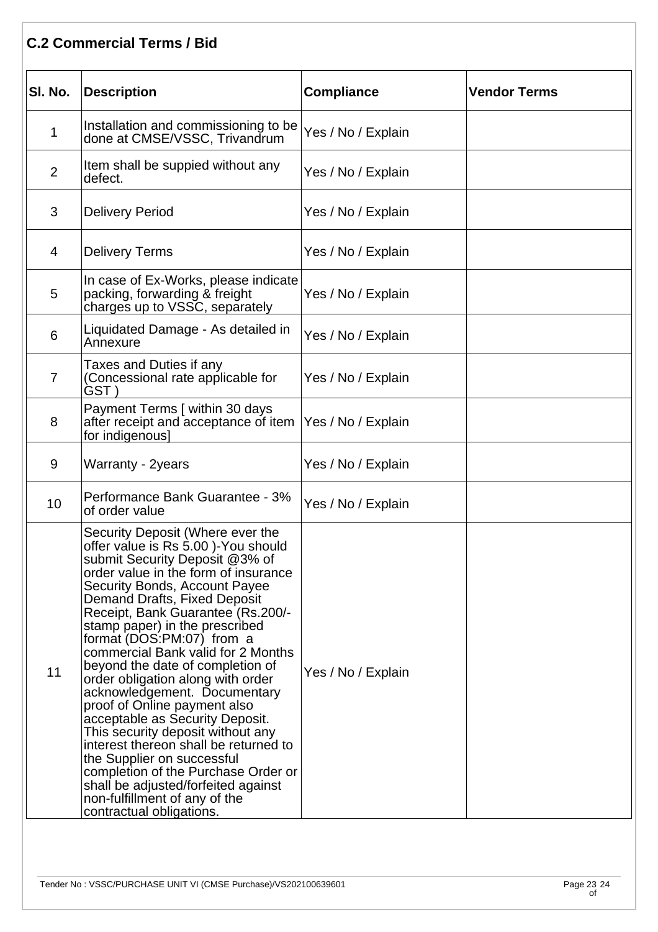### **C.2 Commercial Terms / Bid**

| SI. No.        | <b>Description</b>                                                                                                                                                                                                                                                                                                                                                                                                                                                                                                                                                                                                                                                                                                                                                                              | <b>Compliance</b>  | <b>Vendor Terms</b> |
|----------------|-------------------------------------------------------------------------------------------------------------------------------------------------------------------------------------------------------------------------------------------------------------------------------------------------------------------------------------------------------------------------------------------------------------------------------------------------------------------------------------------------------------------------------------------------------------------------------------------------------------------------------------------------------------------------------------------------------------------------------------------------------------------------------------------------|--------------------|---------------------|
| 1              | Installation and commissioning to be<br>done at CMSE/VSSC, Trivandrum                                                                                                                                                                                                                                                                                                                                                                                                                                                                                                                                                                                                                                                                                                                           | Yes / No / Explain |                     |
| $\overline{2}$ | Item shall be suppied without any<br>defect.                                                                                                                                                                                                                                                                                                                                                                                                                                                                                                                                                                                                                                                                                                                                                    | Yes / No / Explain |                     |
| 3              | <b>Delivery Period</b>                                                                                                                                                                                                                                                                                                                                                                                                                                                                                                                                                                                                                                                                                                                                                                          | Yes / No / Explain |                     |
| 4              | <b>Delivery Terms</b>                                                                                                                                                                                                                                                                                                                                                                                                                                                                                                                                                                                                                                                                                                                                                                           | Yes / No / Explain |                     |
| 5              | In case of Ex-Works, please indicate<br>packing, forwarding & freight<br>charges up to VSSC, separately                                                                                                                                                                                                                                                                                                                                                                                                                                                                                                                                                                                                                                                                                         | Yes / No / Explain |                     |
| 6              | Liquidated Damage - As detailed in<br>Annexure                                                                                                                                                                                                                                                                                                                                                                                                                                                                                                                                                                                                                                                                                                                                                  | Yes / No / Explain |                     |
| 7              | Taxes and Duties if any<br>(Concessional rate applicable for<br>GST )                                                                                                                                                                                                                                                                                                                                                                                                                                                                                                                                                                                                                                                                                                                           | Yes / No / Explain |                     |
| 8              | Payment Terms [ within 30 days<br>after receipt and acceptance of item  Yes / No / Explain<br>for indigenous]                                                                                                                                                                                                                                                                                                                                                                                                                                                                                                                                                                                                                                                                                   |                    |                     |
| 9              | Warranty - 2years                                                                                                                                                                                                                                                                                                                                                                                                                                                                                                                                                                                                                                                                                                                                                                               | Yes / No / Explain |                     |
| 10             | Performance Bank Guarantee - 3%<br>of order value                                                                                                                                                                                                                                                                                                                                                                                                                                                                                                                                                                                                                                                                                                                                               | Yes / No / Explain |                     |
| 11             | Security Deposit (Where ever the<br>offer value is Rs 5.00 )-You should<br>submit Security Deposit @3% of<br>order value in the form of insurance<br>Security Bonds, Account Payee<br>Demand Drafts, Fixed Deposit<br>Receipt, Bank Guarantee (Rs.200/-<br>stamp paper) in the prescribed<br>format (DOS:PM:07) from a<br>commercial Bank valid for 2 Months<br>beyond the date of completion of<br>order obligation along with order<br>acknowledgement. Documentary<br>proof of Online payment also<br>acceptable as Security Deposit.<br>This security deposit without any<br>interest thereon shall be returned to<br>the Supplier on successful<br>completion of the Purchase Order or<br>shall be adjusted/forfeited against<br>non-fulfillment of any of the<br>contractual obligations. | Yes / No / Explain |                     |